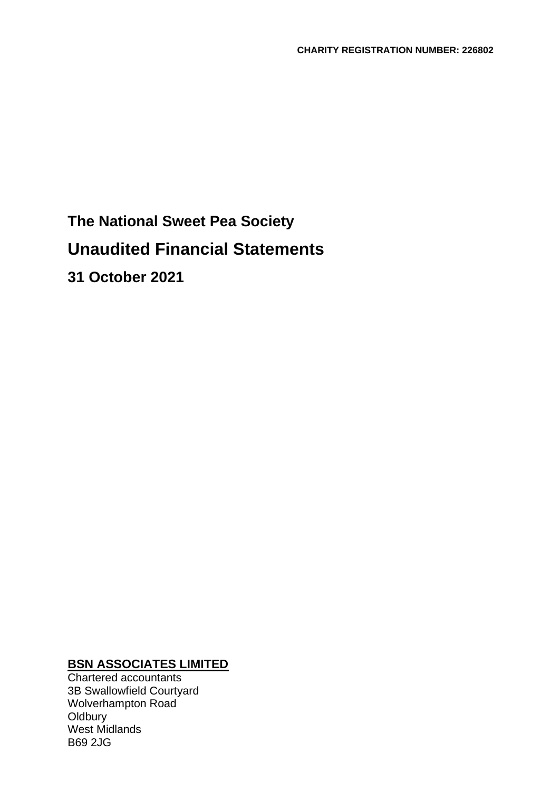# **The National Sweet Pea Society Unaudited Financial Statements 31 October 2021**

# **BSN ASSOCIATES LIMITED**

Chartered accountants 3B Swallowfield Courtyard Wolverhampton Road **Oldbury** West Midlands B69 2JG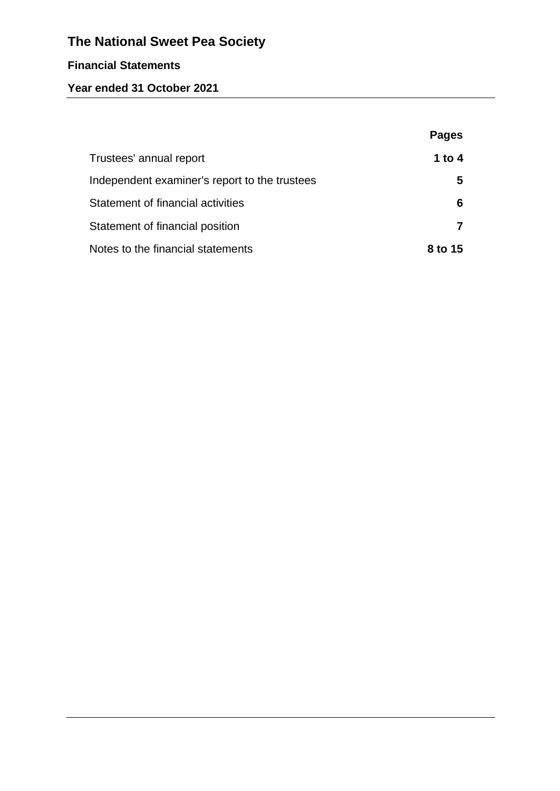# **Financial Statements**

# **Year ended 31 October 2021**

|                                               | <b>Pages</b> |
|-----------------------------------------------|--------------|
| Trustees' annual report                       | 1 to 4       |
| Independent examiner's report to the trustees | 5            |
| Statement of financial activities             | 6            |
| Statement of financial position               |              |
| Notes to the financial statements             | 8 to 15      |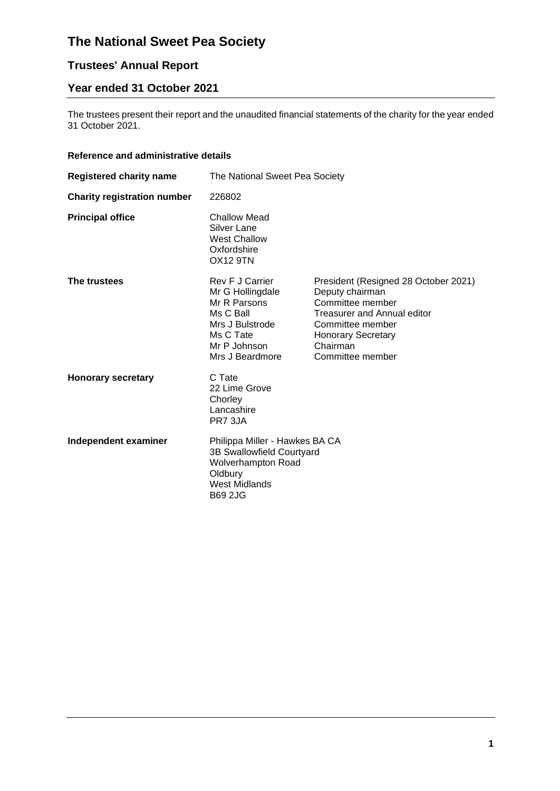# **Trustees' Annual Report**

# **Year ended 31 October 2021**

The trustees present their report and the unaudited financial statements of the charity for the year ended 31 October 2021.

### **Reference and administrative details**

| <b>Registered charity name</b>     | The National Sweet Pea Society                                                                                                                |                                                                                                                                                                                             |  |
|------------------------------------|-----------------------------------------------------------------------------------------------------------------------------------------------|---------------------------------------------------------------------------------------------------------------------------------------------------------------------------------------------|--|
| <b>Charity registration number</b> | 226802                                                                                                                                        |                                                                                                                                                                                             |  |
| <b>Principal office</b>            | Challow Mead<br><b>Silver Lane</b><br><b>West Challow</b><br>Oxfordshire<br><b>OX12 9TN</b>                                                   |                                                                                                                                                                                             |  |
| The trustees                       | Rev F J Carrier<br>Mr G Hollingdale<br>Mr R Parsons<br>Ms C Ball<br>Mrs J Bulstrode<br>Ms C Tate<br>Mr P Johnson<br>Mrs J Beardmore           | President (Resigned 28 October 2021)<br>Deputy chairman<br>Committee member<br><b>Treasurer and Annual editor</b><br>Committee member<br>Honorary Secretary<br>Chairman<br>Committee member |  |
| <b>Honorary secretary</b>          | C Tate<br>22 Lime Grove<br>Chorley<br>Lancashire<br>PR7 3JA                                                                                   |                                                                                                                                                                                             |  |
| Independent examiner               | Philippa Miller - Hawkes BA CA<br>3B Swallowfield Courtyard<br><b>Wolverhampton Road</b><br>Oldbury<br><b>West Midlands</b><br><b>B69 2JG</b> |                                                                                                                                                                                             |  |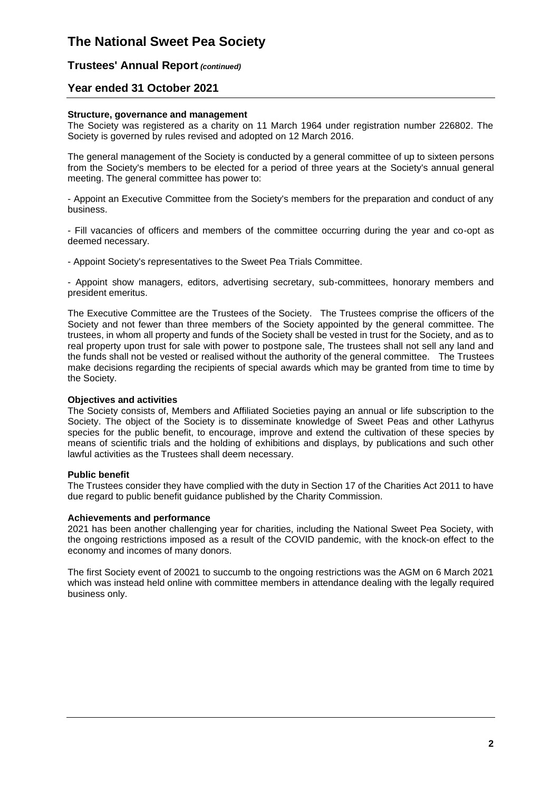#### **Trustees' Annual Report** *(continued)*

### **Year ended 31 October 2021**

#### **Structure, governance and management**

The Society was registered as a charity on 11 March 1964 under registration number 226802. The Society is governed by rules revised and adopted on 12 March 2016.

The general management of the Society is conducted by a general committee of up to sixteen persons from the Society's members to be elected for a period of three years at the Society's annual general meeting. The general committee has power to:

- Appoint an Executive Committee from the Society's members for the preparation and conduct of any business.

- Fill vacancies of officers and members of the committee occurring during the year and co-opt as deemed necessary.

- Appoint Society's representatives to the Sweet Pea Trials Committee.

- Appoint show managers, editors, advertising secretary, sub-committees, honorary members and president emeritus.

The Executive Committee are the Trustees of the Society. The Trustees comprise the officers of the Society and not fewer than three members of the Society appointed by the general committee. The trustees, in whom all property and funds of the Society shall be vested in trust for the Society, and as to real property upon trust for sale with power to postpone sale, The trustees shall not sell any land and the funds shall not be vested or realised without the authority of the general committee. The Trustees make decisions regarding the recipients of special awards which may be granted from time to time by the Society.

#### **Objectives and activities**

The Society consists of, Members and Affiliated Societies paying an annual or life subscription to the Society. The object of the Society is to disseminate knowledge of Sweet Peas and other Lathyrus species for the public benefit, to encourage, improve and extend the cultivation of these species by means of scientific trials and the holding of exhibitions and displays, by publications and such other lawful activities as the Trustees shall deem necessary.

#### **Public benefit**

The Trustees consider they have complied with the duty in Section 17 of the Charities Act 2011 to have due regard to public benefit guidance published by the Charity Commission.

#### **Achievements and performance**

2021 has been another challenging year for charities, including the National Sweet Pea Society, with the ongoing restrictions imposed as a result of the COVID pandemic, with the knock-on effect to the economy and incomes of many donors.

The first Society event of 20021 to succumb to the ongoing restrictions was the AGM on 6 March 2021 which was instead held online with committee members in attendance dealing with the legally required business only.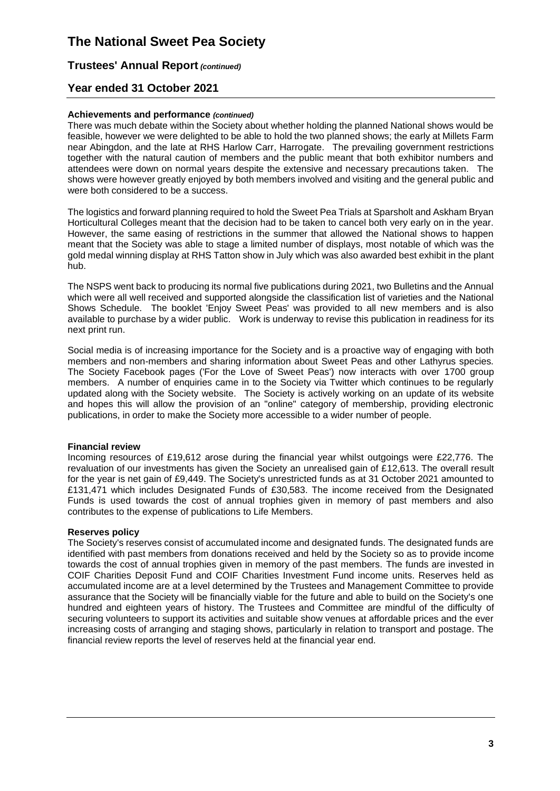### **Trustees' Annual Report** *(continued)*

### **Year ended 31 October 2021**

#### **Achievements and performance** *(continued)*

There was much debate within the Society about whether holding the planned National shows would be feasible, however we were delighted to be able to hold the two planned shows; the early at Millets Farm near Abingdon, and the late at RHS Harlow Carr, Harrogate. The prevailing government restrictions together with the natural caution of members and the public meant that both exhibitor numbers and attendees were down on normal years despite the extensive and necessary precautions taken. The shows were however greatly enjoyed by both members involved and visiting and the general public and were both considered to be a success.

The logistics and forward planning required to hold the Sweet Pea Trials at Sparsholt and Askham Bryan Horticultural Colleges meant that the decision had to be taken to cancel both very early on in the year. However, the same easing of restrictions in the summer that allowed the National shows to happen meant that the Society was able to stage a limited number of displays, most notable of which was the gold medal winning display at RHS Tatton show in July which was also awarded best exhibit in the plant hub.

The NSPS went back to producing its normal five publications during 2021, two Bulletins and the Annual which were all well received and supported alongside the classification list of varieties and the National Shows Schedule. The booklet 'Enjoy Sweet Peas' was provided to all new members and is also available to purchase by a wider public. Work is underway to revise this publication in readiness for its next print run.

Social media is of increasing importance for the Society and is a proactive way of engaging with both members and non-members and sharing information about Sweet Peas and other Lathyrus species. The Society Facebook pages ('For the Love of Sweet Peas') now interacts with over 1700 group members. A number of enquiries came in to the Society via Twitter which continues to be regularly updated along with the Society website. The Society is actively working on an update of its website and hopes this will allow the provision of an "online" category of membership, providing electronic publications, in order to make the Society more accessible to a wider number of people.

#### **Financial review**

Incoming resources of £19,612 arose during the financial year whilst outgoings were £22,776. The revaluation of our investments has given the Society an unrealised gain of £12,613. The overall result for the year is net gain of £9,449. The Society's unrestricted funds as at 31 October 2021 amounted to £131,471 which includes Designated Funds of £30,583. The income received from the Designated Funds is used towards the cost of annual trophies given in memory of past members and also contributes to the expense of publications to Life Members.

#### **Reserves policy**

The Society's reserves consist of accumulated income and designated funds. The designated funds are identified with past members from donations received and held by the Society so as to provide income towards the cost of annual trophies given in memory of the past members. The funds are invested in COIF Charities Deposit Fund and COIF Charities Investment Fund income units. Reserves held as accumulated income are at a level determined by the Trustees and Management Committee to provide assurance that the Society will be financially viable for the future and able to build on the Society's one hundred and eighteen years of history. The Trustees and Committee are mindful of the difficulty of securing volunteers to support its activities and suitable show venues at affordable prices and the ever increasing costs of arranging and staging shows, particularly in relation to transport and postage. The financial review reports the level of reserves held at the financial year end.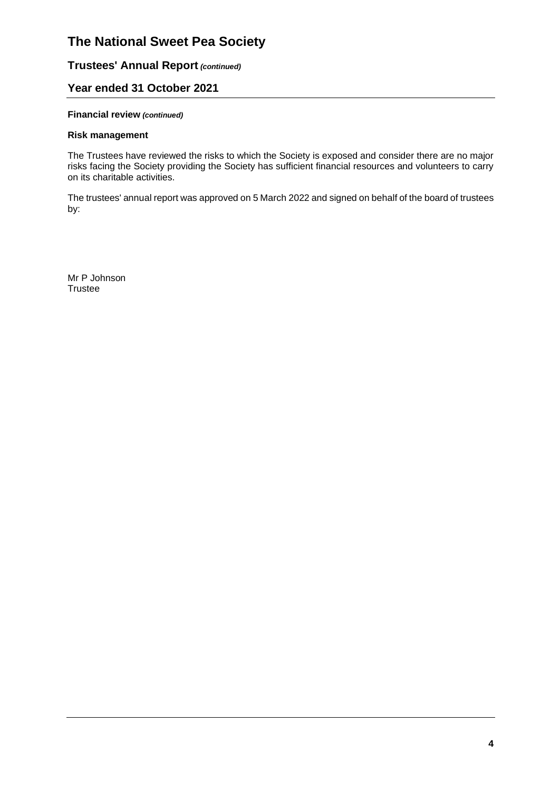# **Trustees' Annual Report** *(continued)*

## **Year ended 31 October 2021**

#### **Financial review** *(continued)*

#### **Risk management**

The Trustees have reviewed the risks to which the Society is exposed and consider there are no major risks facing the Society providing the Society has sufficient financial resources and volunteers to carry on its charitable activities.

The trustees' annual report was approved on 5 March 2022 and signed on behalf of the board of trustees by:

Mr P Johnson **Trustee**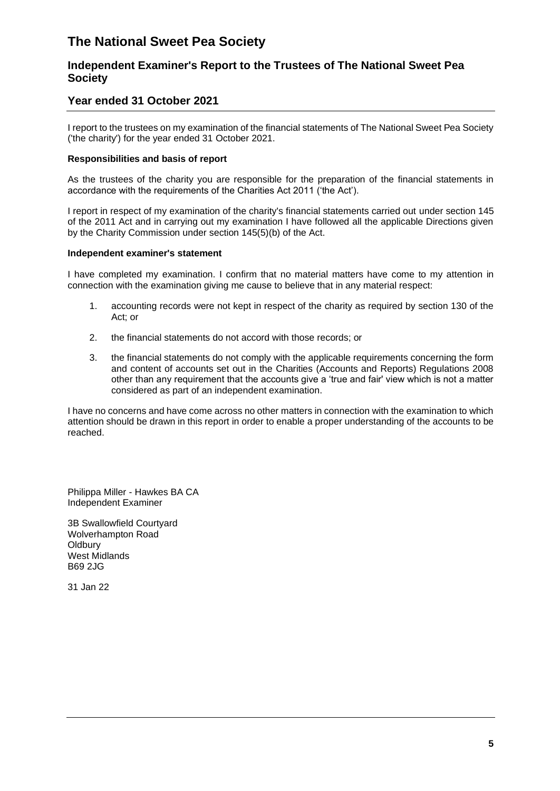## **Independent Examiner's Report to the Trustees of The National Sweet Pea Society**

### **Year ended 31 October 2021**

I report to the trustees on my examination of the financial statements of The National Sweet Pea Society ('the charity') for the year ended 31 October 2021.

#### **Responsibilities and basis of report**

As the trustees of the charity you are responsible for the preparation of the financial statements in accordance with the requirements of the Charities Act 2011 ('the Act').

I report in respect of my examination of the charity's financial statements carried out under section 145 of the 2011 Act and in carrying out my examination I have followed all the applicable Directions given by the Charity Commission under section 145(5)(b) of the Act.

#### **Independent examiner's statement**

I have completed my examination. I confirm that no material matters have come to my attention in connection with the examination giving me cause to believe that in any material respect:

- 1. accounting records were not kept in respect of the charity as required by section 130 of the Act; or
- 2. the financial statements do not accord with those records; or
- 3. the financial statements do not comply with the applicable requirements concerning the form and content of accounts set out in the Charities (Accounts and Reports) Regulations 2008 other than any requirement that the accounts give a 'true and fair' view which is not a matter considered as part of an independent examination.

I have no concerns and have come across no other matters in connection with the examination to which attention should be drawn in this report in order to enable a proper understanding of the accounts to be reached.

Philippa Miller - Hawkes BA CA Independent Examiner

3B Swallowfield Courtyard Wolverhampton Road **Oldbury** West Midlands B69 2JG

31 Jan 22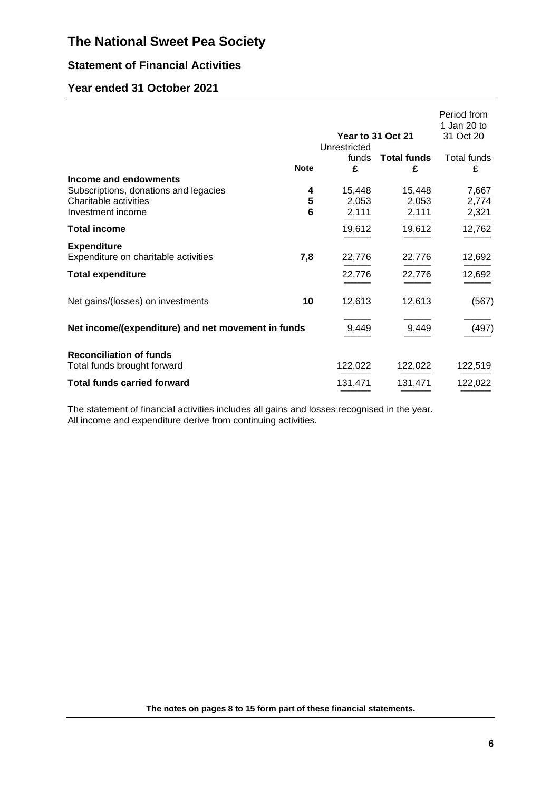# **Statement of Financial Activities**

# **Year ended 31 October 2021**

|                                                                                                              | Year to 31 Oct 21 |                            |                          | Period from<br>1 Jan 20 to<br>31 Oct 20 |
|--------------------------------------------------------------------------------------------------------------|-------------------|----------------------------|--------------------------|-----------------------------------------|
|                                                                                                              | <b>Note</b>       | Unrestricted<br>funds<br>£ | <b>Total funds</b><br>£  | <b>Total funds</b><br>£                 |
| Income and endowments<br>Subscriptions, donations and legacies<br>Charitable activities<br>Investment income | 4<br>5<br>6       | 15,448<br>2,053<br>2,111   | 15,448<br>2,053<br>2,111 | 7,667<br>2,774<br>2,321                 |
| <b>Total income</b>                                                                                          |                   | 19,612                     | 19,612                   | 12,762                                  |
| <b>Expenditure</b><br>Expenditure on charitable activities                                                   | 7,8               | 22,776                     | 22,776                   | 12,692                                  |
| <b>Total expenditure</b>                                                                                     |                   | 22,776                     | 22,776                   | 12,692                                  |
| Net gains/(losses) on investments                                                                            | 10                | 12,613                     | 12,613                   | (567)                                   |
| Net income/(expenditure) and net movement in funds                                                           |                   | 9,449                      | 9,449                    | (497)                                   |
| <b>Reconciliation of funds</b><br>Total funds brought forward                                                |                   | 122,022                    | 122,022                  | 122,519                                 |
| <b>Total funds carried forward</b>                                                                           |                   | 131,471                    | 131,471                  | 122,022                                 |

The statement of financial activities includes all gains and losses recognised in the year. All income and expenditure derive from continuing activities.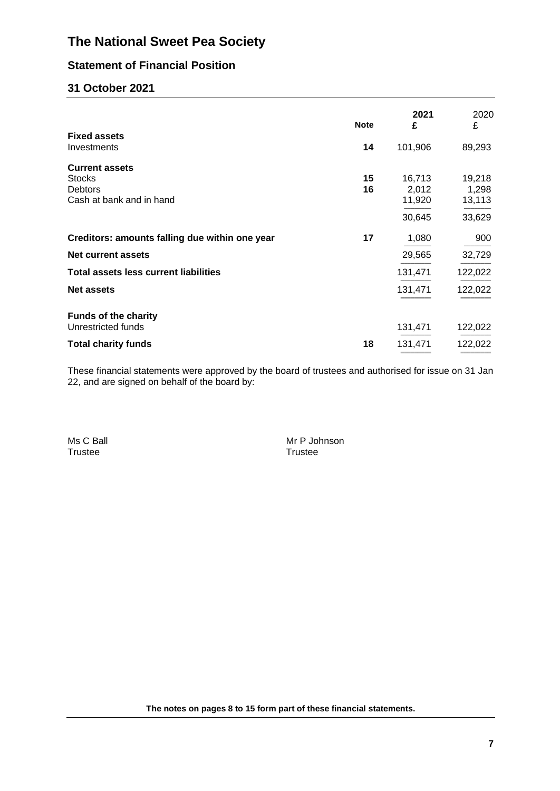# **Statement of Financial Position**

# **31 October 2021**

|                                                   | <b>Note</b> | 2021<br>£       | 2020<br>£       |
|---------------------------------------------------|-------------|-----------------|-----------------|
| <b>Fixed assets</b><br>Investments                | 14          | 101,906         | 89,293          |
| <b>Current assets</b><br><b>Stocks</b>            | 15          | 16,713          | 19,218          |
| <b>Debtors</b><br>Cash at bank and in hand        | 16          | 2,012<br>11,920 | 1,298<br>13,113 |
|                                                   |             | 30,645          | 33,629          |
| Creditors: amounts falling due within one year    | 17          | 1,080           | 900             |
| <b>Net current assets</b>                         |             | 29,565          | 32,729          |
| <b>Total assets less current liabilities</b>      |             | 131,471         | 122,022         |
| <b>Net assets</b>                                 |             | 131,471         | 122,022         |
| <b>Funds of the charity</b><br>Unrestricted funds |             | 131,471         | 122,022         |
| <b>Total charity funds</b>                        | 18          | 131,471         | 122,022         |

These financial statements were approved by the board of trustees and authorised for issue on 31 Jan 22, and are signed on behalf of the board by:

Ms C Ball Mr P Johnson Trustee

**The notes on pages 8 to 15 form part of these financial statements.**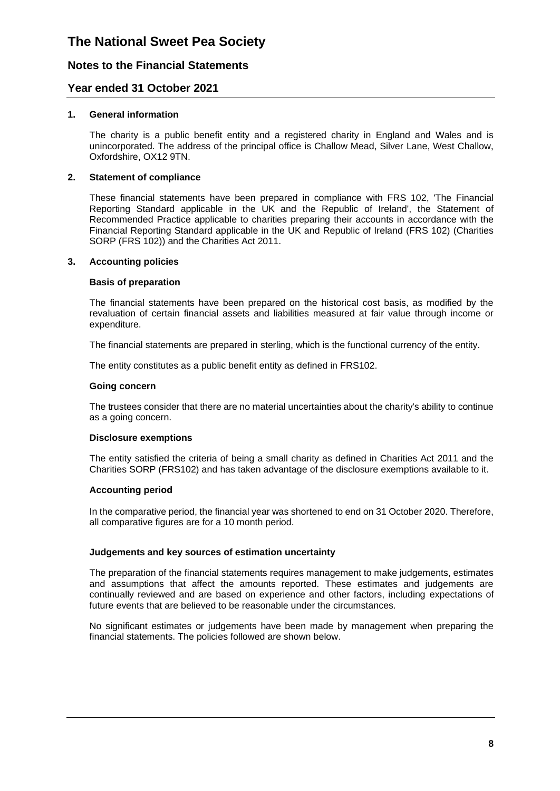### **Notes to the Financial Statements**

### **Year ended 31 October 2021**

#### **1. General information**

The charity is a public benefit entity and a registered charity in England and Wales and is unincorporated. The address of the principal office is Challow Mead, Silver Lane, West Challow, Oxfordshire, OX12 9TN.

#### **2. Statement of compliance**

These financial statements have been prepared in compliance with FRS 102, 'The Financial Reporting Standard applicable in the UK and the Republic of Ireland', the Statement of Recommended Practice applicable to charities preparing their accounts in accordance with the Financial Reporting Standard applicable in the UK and Republic of Ireland (FRS 102) (Charities SORP (FRS 102)) and the Charities Act 2011.

#### **3. Accounting policies**

#### **Basis of preparation**

The financial statements have been prepared on the historical cost basis, as modified by the revaluation of certain financial assets and liabilities measured at fair value through income or expenditure.

The financial statements are prepared in sterling, which is the functional currency of the entity.

The entity constitutes as a public benefit entity as defined in FRS102.

#### **Going concern**

The trustees consider that there are no material uncertainties about the charity's ability to continue as a going concern.

#### **Disclosure exemptions**

The entity satisfied the criteria of being a small charity as defined in Charities Act 2011 and the Charities SORP (FRS102) and has taken advantage of the disclosure exemptions available to it.

#### **Accounting period**

In the comparative period, the financial year was shortened to end on 31 October 2020. Therefore, all comparative figures are for a 10 month period.

#### **Judgements and key sources of estimation uncertainty**

The preparation of the financial statements requires management to make judgements, estimates and assumptions that affect the amounts reported. These estimates and judgements are continually reviewed and are based on experience and other factors, including expectations of future events that are believed to be reasonable under the circumstances.

No significant estimates or judgements have been made by management when preparing the financial statements. The policies followed are shown below.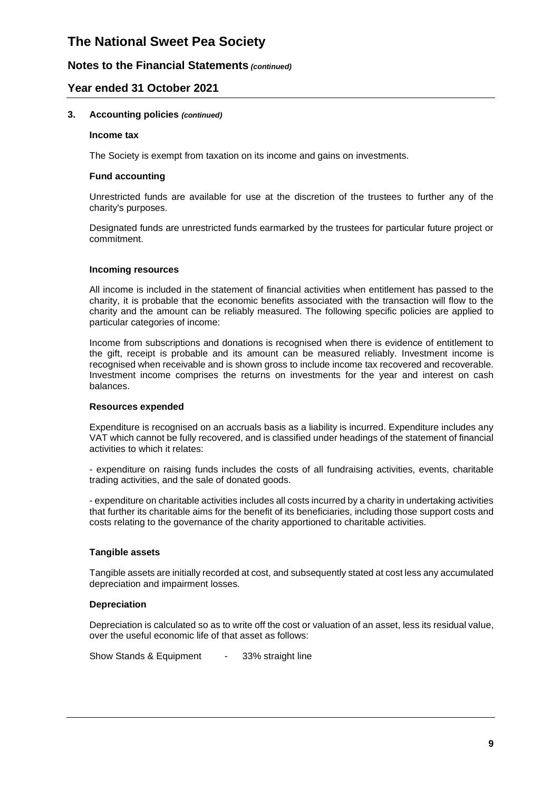### **Notes to the Financial Statements** *(continued)*

### **Year ended 31 October 2021**

#### **3. Accounting policies** *(continued)*

#### **Income tax**

The Society is exempt from taxation on its income and gains on investments.

#### **Fund accounting**

Unrestricted funds are available for use at the discretion of the trustees to further any of the charity's purposes.

Designated funds are unrestricted funds earmarked by the trustees for particular future project or commitment.

#### **Incoming resources**

All income is included in the statement of financial activities when entitlement has passed to the charity, it is probable that the economic benefits associated with the transaction will flow to the charity and the amount can be reliably measured. The following specific policies are applied to particular categories of income:

Income from subscriptions and donations is recognised when there is evidence of entitlement to the gift, receipt is probable and its amount can be measured reliably. Investment income is recognised when receivable and is shown gross to include income tax recovered and recoverable. Investment income comprises the returns on investments for the year and interest on cash balances.

#### **Resources expended**

Expenditure is recognised on an accruals basis as a liability is incurred. Expenditure includes any VAT which cannot be fully recovered, and is classified under headings of the statement of financial activities to which it relates:

- expenditure on raising funds includes the costs of all fundraising activities, events, charitable trading activities, and the sale of donated goods.

- expenditure on charitable activities includes all costs incurred by a charity in undertaking activities that further its charitable aims for the benefit of its beneficiaries, including those support costs and costs relating to the governance of the charity apportioned to charitable activities.

#### **Tangible assets**

Tangible assets are initially recorded at cost, and subsequently stated at cost less any accumulated depreciation and impairment losses.

#### **Depreciation**

Depreciation is calculated so as to write off the cost or valuation of an asset, less its residual value, over the useful economic life of that asset as follows:

Show Stands & Equipment - 33% straight line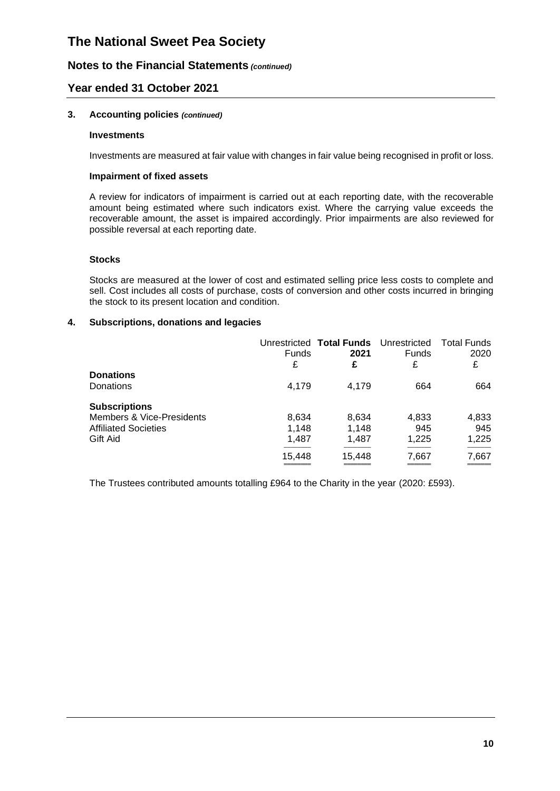### **Notes to the Financial Statements** *(continued)*

### **Year ended 31 October 2021**

#### **3. Accounting policies** *(continued)*

#### **Investments**

Investments are measured at fair value with changes in fair value being recognised in profit or loss.

#### **Impairment of fixed assets**

A review for indicators of impairment is carried out at each reporting date, with the recoverable amount being estimated where such indicators exist. Where the carrying value exceeds the recoverable amount, the asset is impaired accordingly. Prior impairments are also reviewed for possible reversal at each reporting date.

#### **Stocks**

Stocks are measured at the lower of cost and estimated selling price less costs to complete and sell. Cost includes all costs of purchase, costs of conversion and other costs incurred in bringing the stock to its present location and condition.

#### **4. Subscriptions, donations and legacies**

|                                      | <b>Funds</b><br>£ | Unrestricted Total Funds Unrestricted<br>2021<br>£ | <b>Funds</b><br>£ | <b>Total Funds</b><br>2020<br>£ |
|--------------------------------------|-------------------|----------------------------------------------------|-------------------|---------------------------------|
| <b>Donations</b>                     |                   |                                                    |                   |                                 |
| Donations                            | 4.179             | 4.179                                              | 664               | 664                             |
| <b>Subscriptions</b>                 |                   |                                                    |                   |                                 |
| <b>Members &amp; Vice-Presidents</b> | 8,634             | 8,634                                              | 4,833             | 4,833                           |
| <b>Affiliated Societies</b>          | 1.148             | 1.148                                              | 945               | 945                             |
| Gift Aid                             | 1,487             | 1,487                                              | 1.225             | 1,225                           |
|                                      | 15,448            | 15,448                                             | 7,667             | 7,667                           |
|                                      |                   |                                                    |                   |                                 |

The Trustees contributed amounts totalling £964 to the Charity in the year (2020: £593).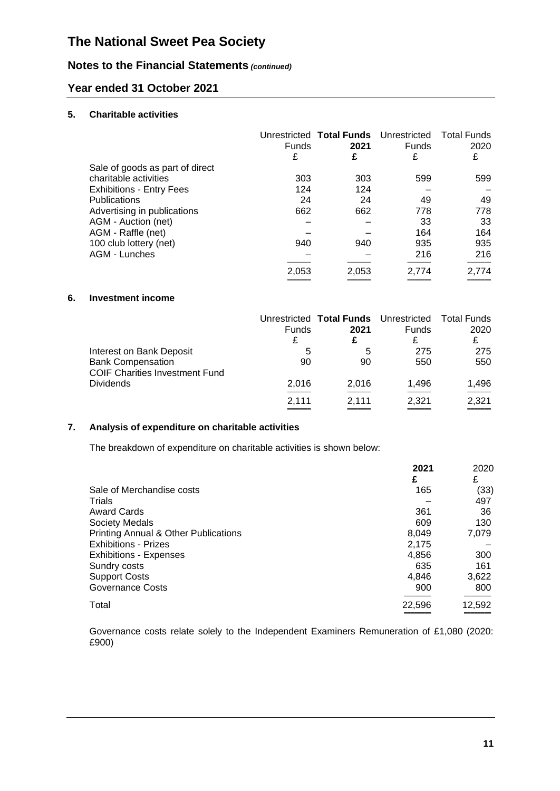# **Notes to the Financial Statements** *(continued)*

## **Year ended 31 October 2021**

#### **5. Charitable activities**

|                                 | <b>Funds</b><br>£ | 2021<br>£ | Unrestricted Total Funds Unrestricted<br><b>Funds</b><br>£ | Total Funds<br>2020<br>£ |
|---------------------------------|-------------------|-----------|------------------------------------------------------------|--------------------------|
| Sale of goods as part of direct |                   |           |                                                            |                          |
| charitable activities           | 303               | 303       | 599                                                        | 599                      |
| <b>Exhibitions - Entry Fees</b> | 124               | 124       |                                                            |                          |
| <b>Publications</b>             | 24                | 24        | 49                                                         | 49                       |
| Advertising in publications     | 662               | 662       | 778                                                        | 778                      |
| AGM - Auction (net)             |                   |           | 33                                                         | 33                       |
| AGM - Raffle (net)              |                   |           | 164                                                        | 164                      |
| 100 club lottery (net)          | 940               | 940       | 935                                                        | 935                      |
| AGM - Lunches                   |                   |           | 216                                                        | 216                      |
|                                 | 2.053             | 2.053     | 2.774                                                      | 2.774                    |

#### **6. Investment income**

|                                                                                               | <b>Funds</b><br>£ | Unrestricted Total Funds Unrestricted Total Funds<br>2021<br>£ | Funds<br>£ | 2020<br>£  |
|-----------------------------------------------------------------------------------------------|-------------------|----------------------------------------------------------------|------------|------------|
| Interest on Bank Deposit<br><b>Bank Compensation</b><br><b>COIF Charities Investment Fund</b> | 5<br>90           | 5<br>90                                                        | 275<br>550 | 275<br>550 |
| <b>Dividends</b>                                                                              | 2.016             | 2,016                                                          | 1,496      | 1,496      |
|                                                                                               | 2.111             | 2.111                                                          | 2,321      | 2,321      |

### **7. Analysis of expenditure on charitable activities**

The breakdown of expenditure on charitable activities is shown below:

|                                                 | 2021   | 2020   |
|-------------------------------------------------|--------|--------|
|                                                 | £      | £      |
| Sale of Merchandise costs                       | 165    | (33)   |
| Trials                                          |        | 497    |
| <b>Award Cards</b>                              | 361    | 36     |
| <b>Society Medals</b>                           | 609    | 130    |
| <b>Printing Annual &amp; Other Publications</b> | 8.049  | 7,079  |
| Exhibitions - Prizes                            | 2,175  |        |
| <b>Exhibitions - Expenses</b>                   | 4,856  | 300    |
| Sundry costs                                    | 635    | 161    |
| <b>Support Costs</b>                            | 4,846  | 3,622  |
| <b>Governance Costs</b>                         | 900    | 800    |
| Total                                           | 22,596 | 12,592 |
|                                                 |        |        |

Governance costs relate solely to the Independent Examiners Remuneration of £1,080 (2020: £900)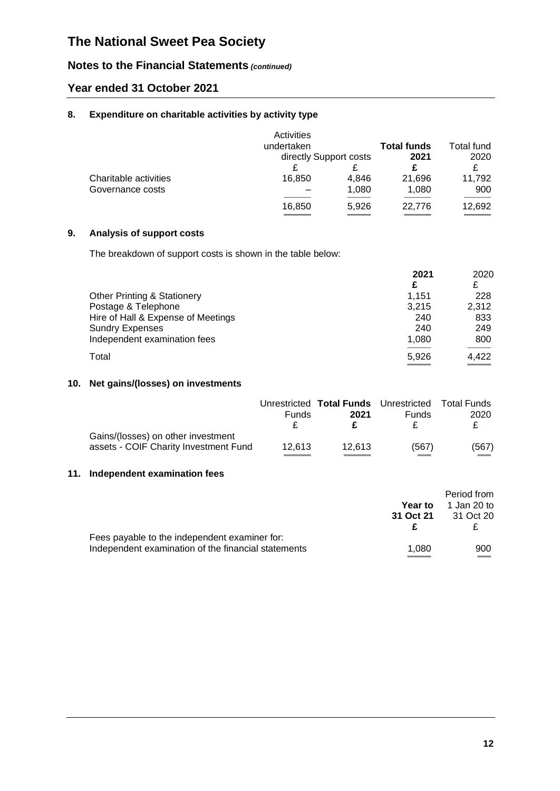# **Notes to the Financial Statements** *(continued)*

## **Year ended 31 October 2021**

#### **8. Expenditure on charitable activities by activity type**

|                       | Activities<br>undertaken |                        | <b>Total funds</b> | Total fund |
|-----------------------|--------------------------|------------------------|--------------------|------------|
|                       |                          | directly Support costs | 2021               | 2020       |
| Charitable activities | 16,850                   | 4,846                  | 21,696             | 11,792     |
| Governance costs      |                          | 1,080                  | 1,080              | 900        |
|                       | 16,850                   | 5,926                  | 22,776             | 12,692     |

### **9. Analysis of support costs**

The breakdown of support costs is shown in the table below:

|                                        | 2021<br>£ | 2020<br>£ |
|----------------------------------------|-----------|-----------|
| <b>Other Printing &amp; Stationery</b> | 1.151     | 228       |
| Postage & Telephone                    | 3.215     | 2,312     |
| Hire of Hall & Expense of Meetings     | 240       | 833       |
| <b>Sundry Expenses</b>                 | 240       | 249       |
| Independent examination fees           | 1.080     | 800       |
| Total                                  | 5,926     | 4,422     |

#### **10. Net gains/(losses) on investments**

|                                                                             | <b>Funds</b> | Unrestricted Total Funds Unrestricted Total Funds<br>2021 | <b>Funds</b> | 2020  |
|-----------------------------------------------------------------------------|--------------|-----------------------------------------------------------|--------------|-------|
| Gains/(losses) on other investment<br>assets - COIF Charity Investment Fund | 12.613       | 12.613                                                    | (567)        | (567) |

### **11. Independent examination fees**

|                                                     |           | Period from |
|-----------------------------------------------------|-----------|-------------|
|                                                     | Year to   | 1 Jan 20 to |
|                                                     | 31 Oct 21 | 31 Oct 20   |
|                                                     |           |             |
| Fees payable to the independent examiner for:       |           |             |
| Independent examination of the financial statements | 1.080     | 900         |
|                                                     |           |             |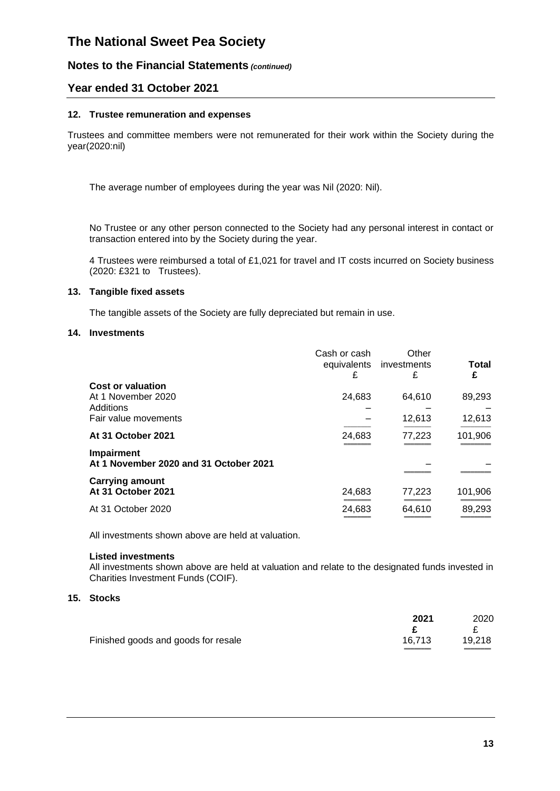### **Notes to the Financial Statements** *(continued)*

### **Year ended 31 October 2021**

#### **12. Trustee remuneration and expenses**

Trustees and committee members were not remunerated for their work within the Society during the year(2020:nil)

The average number of employees during the year was Nil (2020: Nil).

No Trustee or any other person connected to the Society had any personal interest in contact or transaction entered into by the Society during the year.

4 Trustees were reimbursed a total of £1,021 for travel and IT costs incurred on Society business (2020: £321 to Trustees).

#### **13. Tangible fixed assets**

The tangible assets of the Society are fully depreciated but remain in use.

#### **14. Investments**

|                                                      | Cash or cash<br>equivalents<br>£ | Other<br>investments<br>£ | Total<br>£ |
|------------------------------------------------------|----------------------------------|---------------------------|------------|
| <b>Cost or valuation</b>                             |                                  |                           |            |
| At 1 November 2020<br>Additions                      | 24,683                           | 64.610                    | 89,293     |
| Fair value movements                                 |                                  | 12,613                    | 12,613     |
| At 31 October 2021                                   | 24,683                           | 77,223                    | 101,906    |
| Impairment<br>At 1 November 2020 and 31 October 2021 |                                  |                           |            |
| <b>Carrying amount</b><br>At 31 October 2021         | 24,683                           | 77,223                    | 101,906    |
|                                                      |                                  |                           |            |
| At 31 October 2020                                   | 24,683                           | 64,610                    | 89,293     |

All investments shown above are held at valuation.

#### **Listed investments**

All investments shown above are held at valuation and relate to the designated funds invested in Charities Investment Funds (COIF).

#### **15. Stocks**

|                                     | 2021   | 2020   |
|-------------------------------------|--------|--------|
|                                     |        |        |
| Finished goods and goods for resale | 16.713 | 19,218 |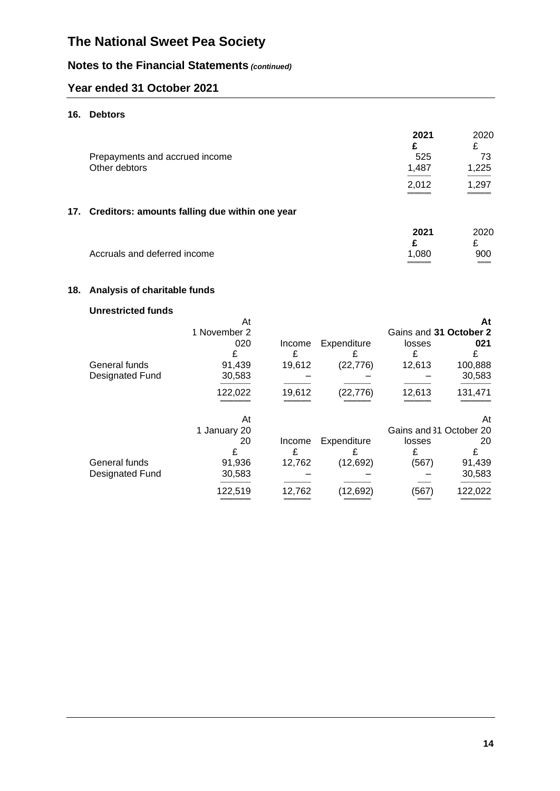# **Notes to the Financial Statements** *(continued)*

# **Year ended 31 October 2021**

### **16. Debtors**

| Prepayments and accrued income<br>Other debtors |                                                    | 2021<br>£<br>525<br>1,487<br>2,012 | 2020<br>£<br>73<br>1,225<br>1,297 |
|-------------------------------------------------|----------------------------------------------------|------------------------------------|-----------------------------------|
|                                                 | 17. Creditors: amounts falling due within one year |                                    |                                   |
| Accruals and deferred income                    |                                                    | 2021<br>£<br>1.080                 | 2020<br>£<br>900                  |

## **18. Analysis of charitable funds**

## **Unrestricted funds**

|                 | At           |        |             |                         | At      |
|-----------------|--------------|--------|-------------|-------------------------|---------|
|                 | 1 November 2 |        |             | Gains and 31 October 2  |         |
|                 | 020          | Income | Expenditure | losses                  | 021     |
|                 | £            | £      |             | £                       | £       |
| General funds   | 91,439       | 19,612 | (22, 776)   | 12,613                  | 100,888 |
| Designated Fund | 30,583       |        |             |                         | 30,583  |
|                 | 122,022      | 19,612 | (22,776)    | 12,613                  | 131,471 |
|                 | At           |        |             |                         | At      |
|                 | 1 January 20 |        |             | Gains and 31 October 20 |         |
|                 | 20           | Income | Expenditure | losses                  | 20      |
|                 | £            | £      |             | £                       | £       |
| General funds   | 91,936       | 12,762 | (12, 692)   | (567)                   | 91,439  |
| Designated Fund | 30,583       |        |             |                         | 30,583  |
|                 | 122.519      | 12,762 | (12, 692)   | (567)                   | 122.022 |
|                 |              |        |             |                         |         |